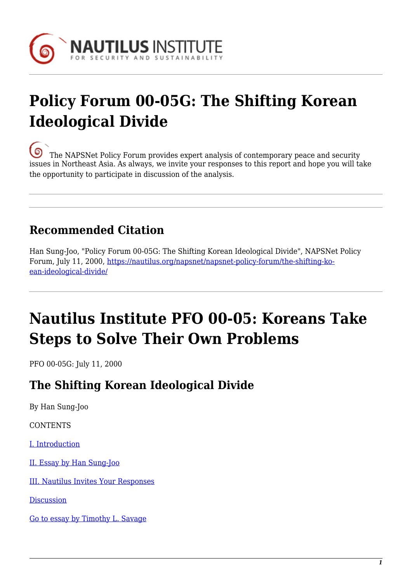

# **Policy Forum 00-05G: The Shifting Korean Ideological Divide**

[T](https://nautilus.org/wp-content/uploads/2013/05/nautilus-logo-small.png)he NAPSNet Policy Forum provides expert analysis of contemporary peace and security issues in Northeast Asia. As always, we invite your responses to this report and hope you will take the opportunity to participate in discussion of the analysis.

## **Recommended Citation**

Han Sung-Joo, "Policy Forum 00-05G: The Shifting Korean Ideological Divide", NAPSNet Policy Forum, July 11, 2000, [https://nautilus.org/napsnet/napsnet-policy-forum/the-shifting-ko](https://nautilus.org/napsnet/napsnet-policy-forum/the-shifting-korean-ideological-divide/)[ean-ideological-divide/](https://nautilus.org/napsnet/napsnet-policy-forum/the-shifting-korean-ideological-divide/)

# **Nautilus Institute PFO 00-05: Koreans Take Steps to Solve Their Own Problems**

PFO 00-05G: July 11, 2000

### **The Shifting Korean Ideological Divide**

By Han Sung-Joo

**CONTENTS** 

[I. Introduction](#page-1-0)

[II. Essay by Han Sung-Joo](#page-1-1)

[III. Nautilus Invites Your Responses](#page-3-0)

**[Discussion](https://nautilus.org/publications/essays/napsnet/forum/security/nautilus-institute-pfo-00-05-koreans-take-steps-to-solve-their-own-problems-9/)** 

[Go to essay by Timothy L. Savage](https://nautilus.org/publications/essays/napsnet/forum/security/nautilus-institute-pfo-00-05-koreans-take-steps-to-solve-their-own-problems/)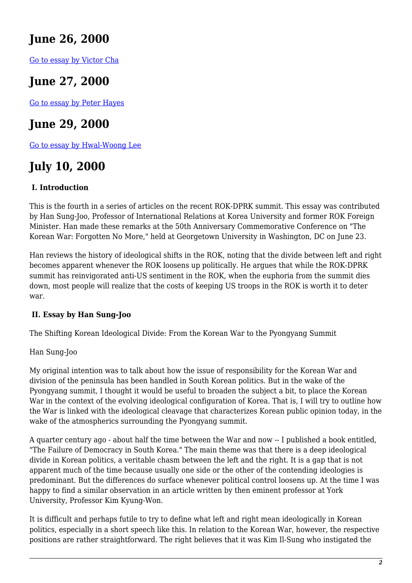### **June 26, 2000**

[Go to essay by Victor Cha](https://nautilus.org/publications/essays/napsnet/forum/security/nautilus-institute-pfo-00-05-koreans-take-steps-to-solve-their-own-problems-2/)

## **June 27, 2000**

[Go to essay by Peter Hayes](https://nautilus.org/publications/essays/napsnet/forum/security/nautilus-institute-pfo-00-05-koreans-take-steps-to-solve-their-own-problems-3/)

### **June 29, 2000**

[Go to essay by Hwal-Woong Lee](https://nautilus.org/publications/essays/napsnet/forum/security/nautilus-institute-pfo-00-05-koreans-take-steps-to-solve-their-own-problems-6/)

## **July 10, 2000**

#### <span id="page-1-0"></span> **I. Introduction**

This is the fourth in a series of articles on the recent ROK-DPRK summit. This essay was contributed by Han Sung-Joo, Professor of International Relations at Korea University and former ROK Foreign Minister. Han made these remarks at the 50th Anniversary Commemorative Conference on "The Korean War: Forgotten No More," held at Georgetown University in Washington, DC on June 23.

Han reviews the history of ideological shifts in the ROK, noting that the divide between left and right becomes apparent whenever the ROK loosens up politically. He argues that while the ROK-DPRK summit has reinvigorated anti-US sentiment in the ROK, when the euphoria from the summit dies down, most people will realize that the costs of keeping US troops in the ROK is worth it to deter war.

#### <span id="page-1-1"></span> **II. Essay by Han Sung-Joo**

The Shifting Korean Ideological Divide: From the Korean War to the Pyongyang Summit

#### Han Sung-Joo

My original intention was to talk about how the issue of responsibility for the Korean War and division of the peninsula has been handled in South Korean politics. But in the wake of the Pyongyang summit, I thought it would be useful to broaden the subject a bit, to place the Korean War in the context of the evolving ideological configuration of Korea. That is, I will try to outline how the War is linked with the ideological cleavage that characterizes Korean public opinion today, in the wake of the atmospherics surrounding the Pyongyang summit.

A quarter century ago - about half the time between the War and now -- I published a book entitled, "The Failure of Democracy in South Korea." The main theme was that there is a deep ideological divide in Korean politics, a veritable chasm between the left and the right. It is a gap that is not apparent much of the time because usually one side or the other of the contending ideologies is predominant. But the differences do surface whenever political control loosens up. At the time I was happy to find a similar observation in an article written by then eminent professor at York University, Professor Kim Kyung-Won.

It is difficult and perhaps futile to try to define what left and right mean ideologically in Korean politics, especially in a short speech like this. In relation to the Korean War, however, the respective positions are rather straightforward. The right believes that it was Kim Il-Sung who instigated the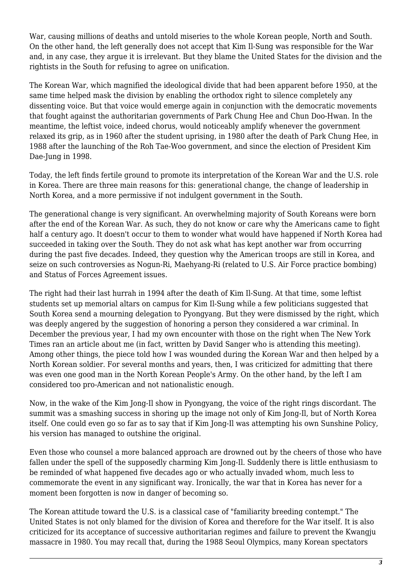War, causing millions of deaths and untold miseries to the whole Korean people, North and South. On the other hand, the left generally does not accept that Kim Il-Sung was responsible for the War and, in any case, they argue it is irrelevant. But they blame the United States for the division and the rightists in the South for refusing to agree on unification.

The Korean War, which magnified the ideological divide that had been apparent before 1950, at the same time helped mask the division by enabling the orthodox right to silence completely any dissenting voice. But that voice would emerge again in conjunction with the democratic movements that fought against the authoritarian governments of Park Chung Hee and Chun Doo-Hwan. In the meantime, the leftist voice, indeed chorus, would noticeably amplify whenever the government relaxed its grip, as in 1960 after the student uprising, in 1980 after the death of Park Chung Hee, in 1988 after the launching of the Roh Tae-Woo government, and since the election of President Kim Dae-Jung in 1998.

Today, the left finds fertile ground to promote its interpretation of the Korean War and the U.S. role in Korea. There are three main reasons for this: generational change, the change of leadership in North Korea, and a more permissive if not indulgent government in the South.

The generational change is very significant. An overwhelming majority of South Koreans were born after the end of the Korean War. As such, they do not know or care why the Americans came to fight half a century ago. It doesn't occur to them to wonder what would have happened if North Korea had succeeded in taking over the South. They do not ask what has kept another war from occurring during the past five decades. Indeed, they question why the American troops are still in Korea, and seize on such controversies as Nogun-Ri, Maehyang-Ri (related to U.S. Air Force practice bombing) and Status of Forces Agreement issues.

The right had their last hurrah in 1994 after the death of Kim Il-Sung. At that time, some leftist students set up memorial altars on campus for Kim Il-Sung while a few politicians suggested that South Korea send a mourning delegation to Pyongyang. But they were dismissed by the right, which was deeply angered by the suggestion of honoring a person they considered a war criminal. In December the previous year, I had my own encounter with those on the right when The New York Times ran an article about me (in fact, written by David Sanger who is attending this meeting). Among other things, the piece told how I was wounded during the Korean War and then helped by a North Korean soldier. For several months and years, then, I was criticized for admitting that there was even one good man in the North Korean People's Army. On the other hand, by the left I am considered too pro-American and not nationalistic enough.

Now, in the wake of the Kim Jong-Il show in Pyongyang, the voice of the right rings discordant. The summit was a smashing success in shoring up the image not only of Kim Jong-Il, but of North Korea itself. One could even go so far as to say that if Kim Jong-Il was attempting his own Sunshine Policy, his version has managed to outshine the original.

Even those who counsel a more balanced approach are drowned out by the cheers of those who have fallen under the spell of the supposedly charming Kim Jong-Il. Suddenly there is little enthusiasm to be reminded of what happened five decades ago or who actually invaded whom, much less to commemorate the event in any significant way. Ironically, the war that in Korea has never for a moment been forgotten is now in danger of becoming so.

The Korean attitude toward the U.S. is a classical case of "familiarity breeding contempt." The United States is not only blamed for the division of Korea and therefore for the War itself. It is also criticized for its acceptance of successive authoritarian regimes and failure to prevent the Kwangju massacre in 1980. You may recall that, during the 1988 Seoul Olympics, many Korean spectators